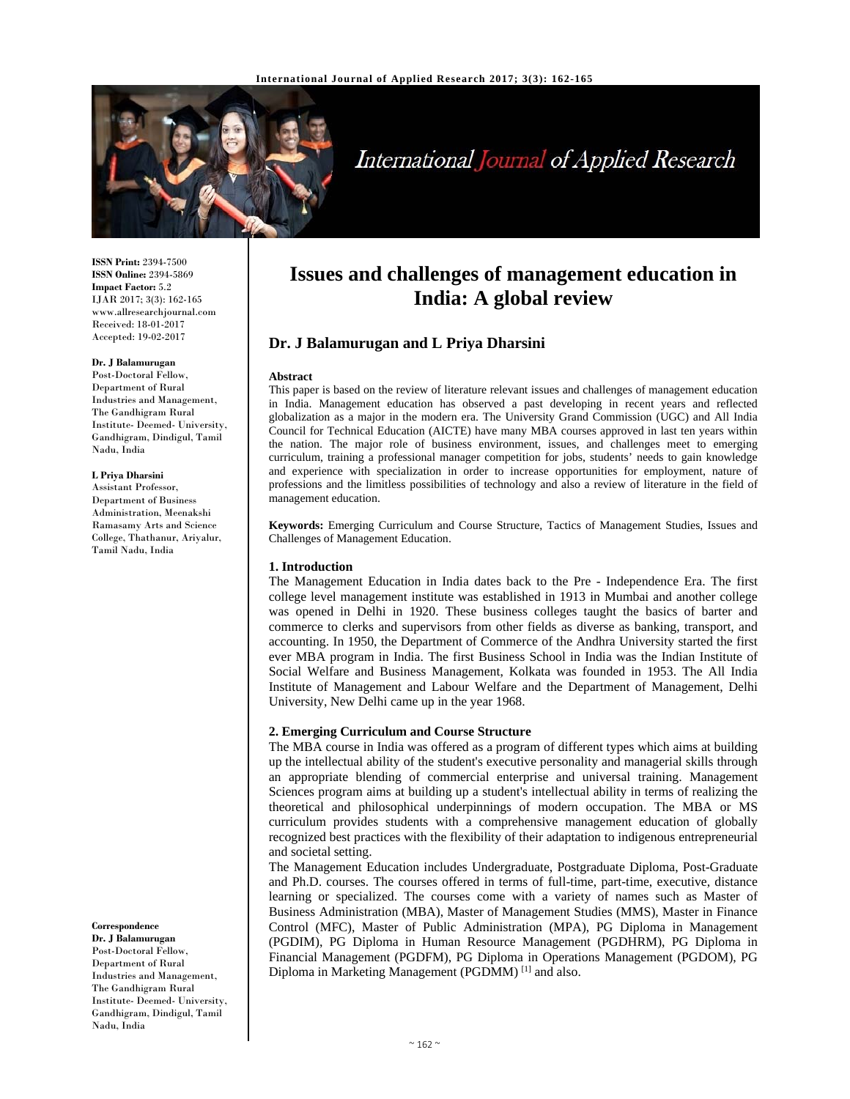

# International Journal of Applied Research

**ISSN Print:** 2394-7500 **ISSN Online:** 2394-5869 **Impact Factor:** 5.2 IJAR 2017; 3(3): 162-165 www.allresearchjournal.com Received: 18-01-2017 Accepted: 19-02-2017

#### **Dr. J Balamurugan**

Post-Doctoral Fellow, Department of Rural Industries and Management, The Gandhigram Rural Institute- Deemed- University, Gandhigram, Dindigul, Tamil Nadu, India

#### **L Priya Dharsini**

Assistant Professor, Department of Business Administration, Meenakshi Ramasamy Arts and Science College, Thathanur, Ariyalur, Tamil Nadu, India

**Correspondence**

**Dr. J Balamurugan**  Post-Doctoral Fellow, Department of Rural Industries and Management, The Gandhigram Rural Institute- Deemed- University, Gandhigram, Dindigul, Tamil Nadu, India

## **Issues and challenges of management education in India: A global review**

## **Dr. J Balamurugan and L Priya Dharsini**

#### **Abstract**

This paper is based on the review of literature relevant issues and challenges of management education in India. Management education has observed a past developing in recent years and reflected globalization as a major in the modern era. The University Grand Commission (UGC) and All India Council for Technical Education (AICTE) have many MBA courses approved in last ten years within the nation. The major role of business environment, issues, and challenges meet to emerging curriculum, training a professional manager competition for jobs, students' needs to gain knowledge and experience with specialization in order to increase opportunities for employment, nature of professions and the limitless possibilities of technology and also a review of literature in the field of management education.

**Keywords:** Emerging Curriculum and Course Structure, Tactics of Management Studies, Issues and Challenges of Management Education.

#### **1. Introduction**

The Management Education in India dates back to the Pre - Independence Era. The first college level management institute was established in 1913 in Mumbai and another college was opened in Delhi in 1920. These business colleges taught the basics of barter and commerce to clerks and supervisors from other fields as diverse as banking, transport, and accounting. In 1950, the Department of Commerce of the Andhra University started the first ever MBA program in India. The first Business School in India was the Indian Institute of Social Welfare and Business Management, Kolkata was founded in 1953. The All India Institute of Management and Labour Welfare and the Department of Management, Delhi University, New Delhi came up in the year 1968.

#### **2. Emerging Curriculum and Course Structure**

The MBA course in India was offered as a program of different types which aims at building up the intellectual ability of the student's executive personality and managerial skills through an appropriate blending of commercial enterprise and universal training. Management Sciences program aims at building up a student's intellectual ability in terms of realizing the theoretical and philosophical underpinnings of modern occupation. The MBA or MS curriculum provides students with a comprehensive management education of globally recognized best practices with the flexibility of their adaptation to indigenous entrepreneurial and societal setting.

The Management Education includes Undergraduate, Postgraduate Diploma, Post-Graduate and Ph.D. courses. The courses offered in terms of full-time, part-time, executive, distance learning or specialized. The courses come with a variety of names such as Master of Business Administration (MBA), Master of Management Studies (MMS), Master in Finance Control (MFC), Master of Public Administration (MPA), PG Diploma in Management (PGDIM), PG Diploma in Human Resource Management (PGDHRM), PG Diploma in Financial Management (PGDFM), PG Diploma in Operations Management (PGDOM), PG Diploma in Marketing Management (PGDMM) [1] and also.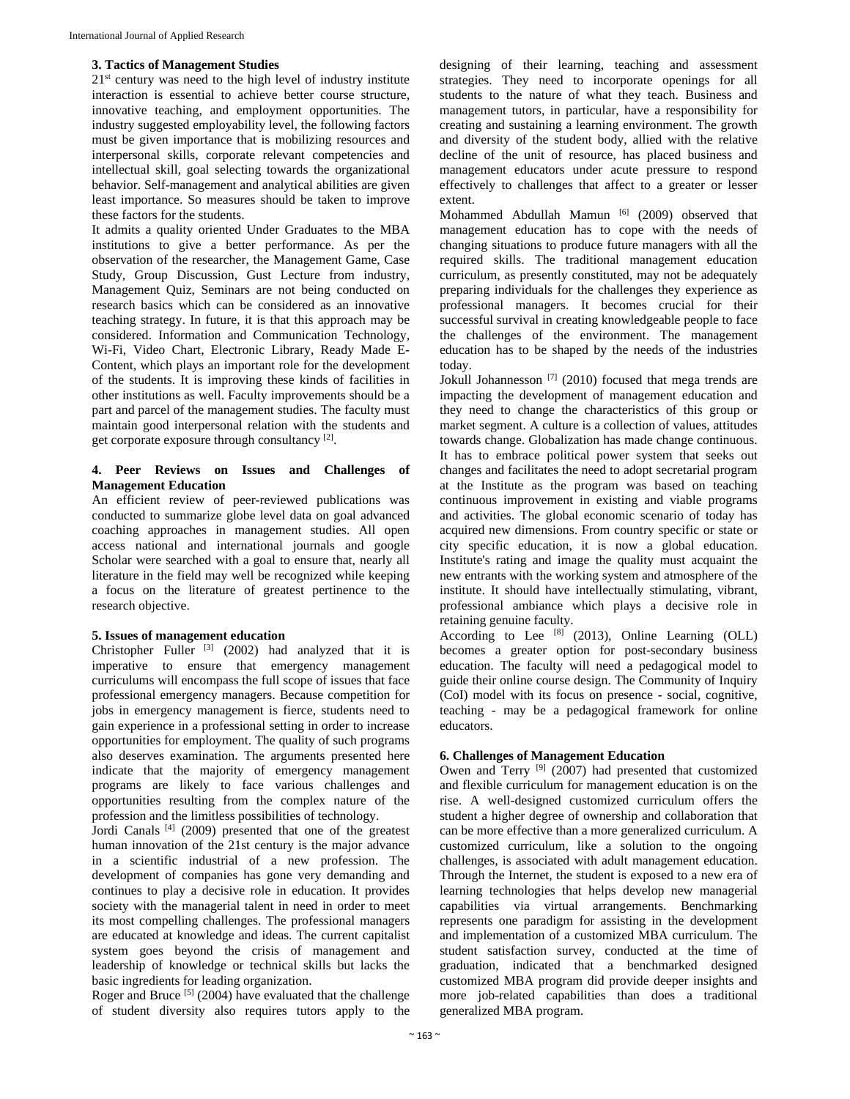#### **3. Tactics of Management Studies**

 $21<sup>st</sup>$  century was need to the high level of industry institute interaction is essential to achieve better course structure, innovative teaching, and employment opportunities. The industry suggested employability level, the following factors must be given importance that is mobilizing resources and interpersonal skills, corporate relevant competencies and intellectual skill, goal selecting towards the organizational behavior. Self-management and analytical abilities are given least importance. So measures should be taken to improve these factors for the students.

It admits a quality oriented Under Graduates to the MBA institutions to give a better performance. As per the observation of the researcher, the Management Game, Case Study, Group Discussion, Gust Lecture from industry, Management Quiz, Seminars are not being conducted on research basics which can be considered as an innovative teaching strategy. In future, it is that this approach may be considered. Information and Communication Technology, Wi-Fi, Video Chart, Electronic Library, Ready Made E-Content, which plays an important role for the development of the students. It is improving these kinds of facilities in other institutions as well. Faculty improvements should be a part and parcel of the management studies. The faculty must maintain good interpersonal relation with the students and get corporate exposure through consultancy [2].

## **4. Peer Reviews on Issues and Challenges of Management Education**

An efficient review of peer-reviewed publications was conducted to summarize globe level data on goal advanced coaching approaches in management studies. All open access national and international journals and google Scholar were searched with a goal to ensure that, nearly all literature in the field may well be recognized while keeping a focus on the literature of greatest pertinence to the research objective.

#### **5. Issues of management education**

Christopher Fuller  $[3]$  (2002) had analyzed that it is imperative to ensure that emergency management curriculums will encompass the full scope of issues that face professional emergency managers. Because competition for jobs in emergency management is fierce, students need to gain experience in a professional setting in order to increase opportunities for employment. The quality of such programs also deserves examination. The arguments presented here indicate that the majority of emergency management programs are likely to face various challenges and opportunities resulting from the complex nature of the profession and the limitless possibilities of technology.

Jordi Canals [4] (2009) presented that one of the greatest human innovation of the 21st century is the major advance in a scientific industrial of a new profession. The development of companies has gone very demanding and continues to play a decisive role in education. It provides society with the managerial talent in need in order to meet its most compelling challenges. The professional managers are educated at knowledge and ideas. The current capitalist system goes beyond the crisis of management and leadership of knowledge or technical skills but lacks the basic ingredients for leading organization.

Roger and Bruce [5] (2004) have evaluated that the challenge of student diversity also requires tutors apply to the

designing of their learning, teaching and assessment strategies. They need to incorporate openings for all students to the nature of what they teach. Business and management tutors, in particular, have a responsibility for creating and sustaining a learning environment. The growth and diversity of the student body, allied with the relative decline of the unit of resource, has placed business and management educators under acute pressure to respond effectively to challenges that affect to a greater or lesser extent.

Mohammed Abdullah Mamun [6] (2009) observed that management education has to cope with the needs of changing situations to produce future managers with all the required skills. The traditional management education curriculum, as presently constituted, may not be adequately preparing individuals for the challenges they experience as professional managers. It becomes crucial for their successful survival in creating knowledgeable people to face the challenges of the environment. The management education has to be shaped by the needs of the industries today.

Jokull Johannesson [7] (2010) focused that mega trends are impacting the development of management education and they need to change the characteristics of this group or market segment. A culture is a collection of values, attitudes towards change. Globalization has made change continuous. It has to embrace political power system that seeks out changes and facilitates the need to adopt secretarial program at the Institute as the program was based on teaching continuous improvement in existing and viable programs and activities. The global economic scenario of today has acquired new dimensions. From country specific or state or city specific education, it is now a global education. Institute's rating and image the quality must acquaint the new entrants with the working system and atmosphere of the institute. It should have intellectually stimulating, vibrant, professional ambiance which plays a decisive role in retaining genuine faculty.

According to Lee  $[8]$  (2013), Online Learning (OLL) becomes a greater option for post-secondary business education. The faculty will need a pedagogical model to guide their online course design. The Community of Inquiry (CoI) model with its focus on presence - social, cognitive, teaching - may be a pedagogical framework for online educators.

## **6. Challenges of Management Education**

Owen and Terry [9] (2007) had presented that customized and flexible curriculum for management education is on the rise. A well-designed customized curriculum offers the student a higher degree of ownership and collaboration that can be more effective than a more generalized curriculum. A customized curriculum, like a solution to the ongoing challenges, is associated with adult management education. Through the Internet, the student is exposed to a new era of learning technologies that helps develop new managerial capabilities via virtual arrangements. Benchmarking represents one paradigm for assisting in the development and implementation of a customized MBA curriculum. The student satisfaction survey, conducted at the time of graduation, indicated that a benchmarked designed customized MBA program did provide deeper insights and more job-related capabilities than does a traditional generalized MBA program.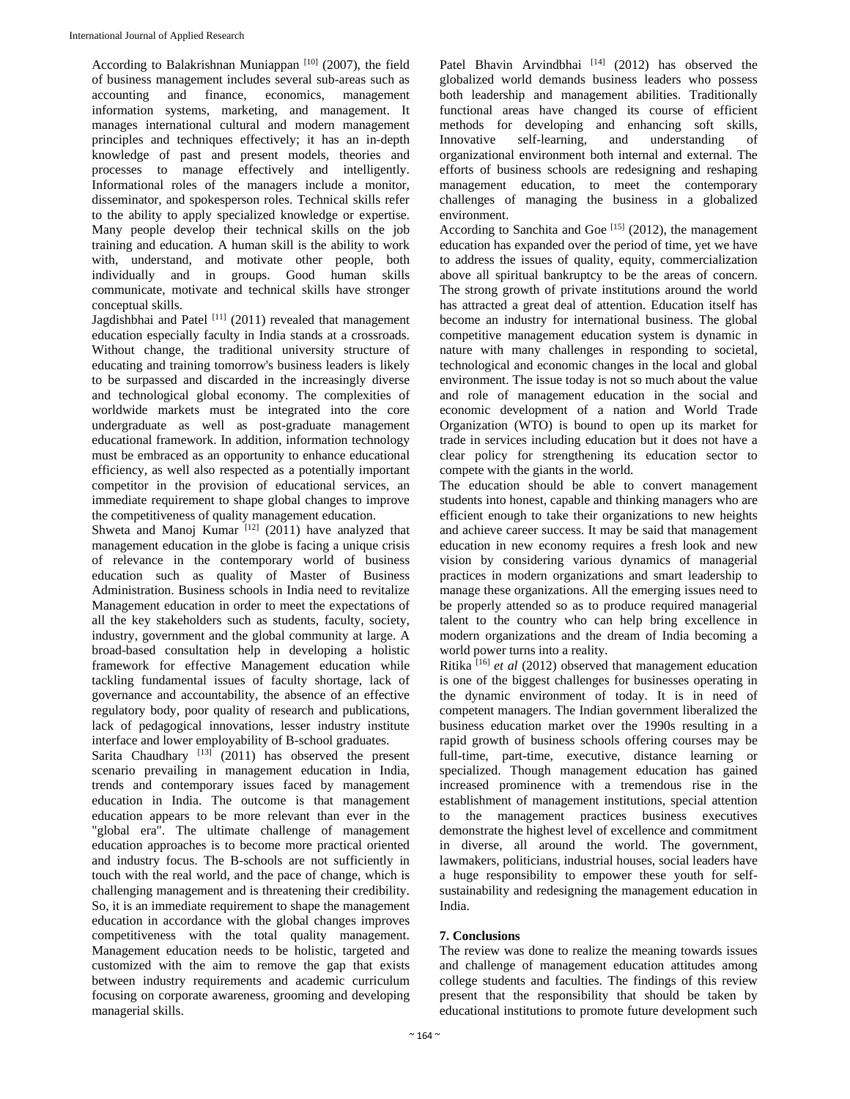According to Balakrishnan Muniappan  $[10]$  (2007), the field of business management includes several sub-areas such as accounting and finance, economics, management information systems, marketing, and management. It manages international cultural and modern management principles and techniques effectively; it has an in-depth knowledge of past and present models, theories and processes to manage effectively and intelligently. Informational roles of the managers include a monitor, disseminator, and spokesperson roles. Technical skills refer to the ability to apply specialized knowledge or expertise. Many people develop their technical skills on the job training and education. A human skill is the ability to work with, understand, and motivate other people, both individually and in groups. Good human skills communicate, motivate and technical skills have stronger conceptual skills.

Jagdishbhai and Patel [11] (2011) revealed that management education especially faculty in India stands at a crossroads. Without change, the traditional university structure of educating and training tomorrow's business leaders is likely to be surpassed and discarded in the increasingly diverse and technological global economy. The complexities of worldwide markets must be integrated into the core undergraduate as well as post-graduate management educational framework. In addition, information technology must be embraced as an opportunity to enhance educational efficiency, as well also respected as a potentially important competitor in the provision of educational services, an immediate requirement to shape global changes to improve the competitiveness of quality management education.

Shweta and Manoj Kumar  $[12]$  (2011) have analyzed that management education in the globe is facing a unique crisis of relevance in the contemporary world of business education such as quality of Master of Business Administration. Business schools in India need to revitalize Management education in order to meet the expectations of all the key stakeholders such as students, faculty, society, industry, government and the global community at large. A broad-based consultation help in developing a holistic framework for effective Management education while tackling fundamental issues of faculty shortage, lack of governance and accountability, the absence of an effective regulatory body, poor quality of research and publications, lack of pedagogical innovations, lesser industry institute interface and lower employability of B-school graduates.

Sarita Chaudhary  $[13]$  (2011) has observed the present scenario prevailing in management education in India, trends and contemporary issues faced by management education in India. The outcome is that management education appears to be more relevant than ever in the "global era". The ultimate challenge of management education approaches is to become more practical oriented and industry focus. The B-schools are not sufficiently in touch with the real world, and the pace of change, which is challenging management and is threatening their credibility. So, it is an immediate requirement to shape the management education in accordance with the global changes improves competitiveness with the total quality management. Management education needs to be holistic, targeted and customized with the aim to remove the gap that exists between industry requirements and academic curriculum focusing on corporate awareness, grooming and developing managerial skills.

Patel Bhavin Arvindbhai [14] (2012) has observed the globalized world demands business leaders who possess both leadership and management abilities. Traditionally functional areas have changed its course of efficient methods for developing and enhancing soft skills, Innovative self-learning, and understanding of organizational environment both internal and external. The efforts of business schools are redesigning and reshaping management education, to meet the contemporary challenges of managing the business in a globalized environment.

According to Sanchita and Goe<sup>[15]</sup> (2012), the management education has expanded over the period of time, yet we have to address the issues of quality, equity, commercialization above all spiritual bankruptcy to be the areas of concern. The strong growth of private institutions around the world has attracted a great deal of attention. Education itself has become an industry for international business. The global competitive management education system is dynamic in nature with many challenges in responding to societal, technological and economic changes in the local and global environment. The issue today is not so much about the value and role of management education in the social and economic development of a nation and World Trade Organization (WTO) is bound to open up its market for trade in services including education but it does not have a clear policy for strengthening its education sector to compete with the giants in the world.

The education should be able to convert management students into honest, capable and thinking managers who are efficient enough to take their organizations to new heights and achieve career success. It may be said that management education in new economy requires a fresh look and new vision by considering various dynamics of managerial practices in modern organizations and smart leadership to manage these organizations. All the emerging issues need to be properly attended so as to produce required managerial talent to the country who can help bring excellence in modern organizations and the dream of India becoming a world power turns into a reality.

Ritika [16] *et al* (2012) observed that management education is one of the biggest challenges for businesses operating in the dynamic environment of today. It is in need of competent managers. The Indian government liberalized the business education market over the 1990s resulting in a rapid growth of business schools offering courses may be full-time, part-time, executive, distance learning or specialized. Though management education has gained increased prominence with a tremendous rise in the establishment of management institutions, special attention to the management practices business executives demonstrate the highest level of excellence and commitment in diverse, all around the world. The government, lawmakers, politicians, industrial houses, social leaders have a huge responsibility to empower these youth for selfsustainability and redesigning the management education in India.

## **7. Conclusions**

The review was done to realize the meaning towards issues and challenge of management education attitudes among college students and faculties. The findings of this review present that the responsibility that should be taken by educational institutions to promote future development such